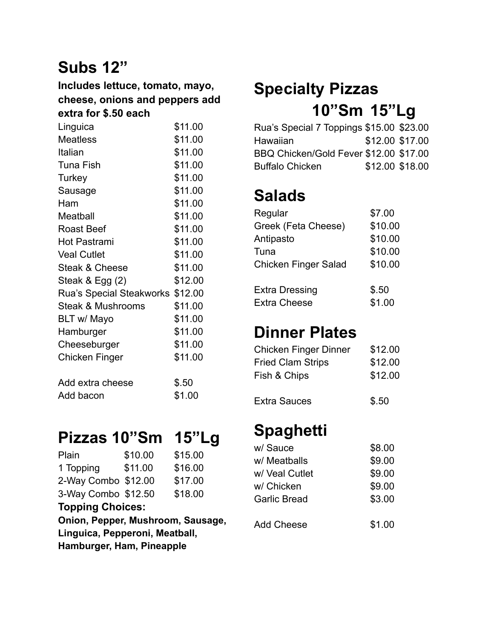# **Subs 12"**

#### **Includes lettuce, tomato, mayo, cheese, onions and peppers add extra for \$.50 each**

| Linguica                         | \$11.00 |
|----------------------------------|---------|
| Meatless                         | \$11.00 |
| Italian                          | \$11.00 |
| Tuna Fish                        | \$11.00 |
| Turkey                           | \$11.00 |
| Sausage                          | \$11.00 |
| Ham                              | \$11.00 |
| Meatball                         | \$11.00 |
| <b>Roast Beef</b>                | \$11.00 |
| <b>Hot Pastrami</b>              | \$11.00 |
| <b>Veal Cutlet</b>               | \$11.00 |
| Steak & Cheese                   | \$11.00 |
| Steak & Egg (2)                  | \$12.00 |
| Rua's Special Steakworks \$12.00 |         |
| <b>Steak &amp; Mushrooms</b>     | \$11.00 |
| BLT w/ Mayo                      | \$11.00 |
| Hamburger                        | \$11.00 |
| Cheeseburger                     | \$11.00 |
| Chicken Finger                   | \$11.00 |
| Add extra cheese                 | \$.50   |
| Add bacon                        | \$1.00  |
|                                  |         |

#### **Pizzas 10"Sm 15"Lg**

| \$10.00                           | \$15.00                                    |  |  |  |
|-----------------------------------|--------------------------------------------|--|--|--|
| \$11.00                           | \$16.00                                    |  |  |  |
|                                   | \$17.00                                    |  |  |  |
|                                   | \$18.00                                    |  |  |  |
| <b>Topping Choices:</b>           |                                            |  |  |  |
| Onion, Pepper, Mushroom, Sausage, |                                            |  |  |  |
| Linguica, Pepperoni, Meatball,    |                                            |  |  |  |
| Hamburger, Ham, Pineapple         |                                            |  |  |  |
|                                   | 2-Way Combo \$12.00<br>3-Way Combo \$12.50 |  |  |  |

# **Specialty Pizzas 10"Sm 15"Lg**

| Rua's Special 7 Toppings \$15.00 \$23.00 |                 |                 |
|------------------------------------------|-----------------|-----------------|
| Hawaiian                                 | \$12.00 \$17.00 |                 |
| BBQ Chicken/Gold Fever \$12.00 \$17.00   |                 |                 |
| <b>Buffalo Chicken</b>                   |                 | \$12.00 \$18.00 |

## **Salads**

| Regular                     | \$7.00  |
|-----------------------------|---------|
| Greek (Feta Cheese)         | \$10.00 |
| Antipasto                   | \$10.00 |
| Tuna                        | \$10.00 |
| <b>Chicken Finger Salad</b> | \$10.00 |
| <b>Extra Dressing</b>       | \$.50   |
| <b>Extra Cheese</b>         | \$1.00  |

## **Dinner Plates**

| Chicken Finger Dinner    | \$12.00 |
|--------------------------|---------|
| <b>Fried Clam Strips</b> | \$12.00 |
| Fish & Chips             | \$12.00 |
|                          |         |

Extra Sauces \$.50

#### **Spaghetti**

| w/ Sauce            | \$8.00 |
|---------------------|--------|
| w/ Meatballs        | \$9.00 |
| w/ Veal Cutlet      | \$9.00 |
| w/ Chicken          | \$9.00 |
| <b>Garlic Bread</b> | \$3.00 |
| Add Cheese          | \$1.00 |